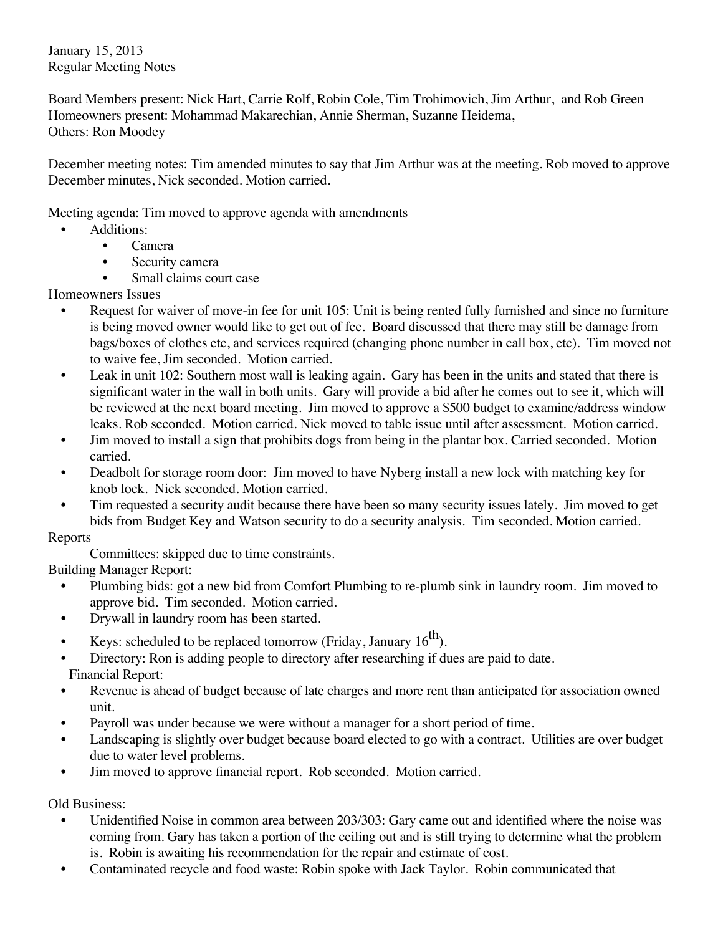January 15, 2013 Regular Meeting Notes

Board Members present: Nick Hart, Carrie Rolf, Robin Cole, Tim Trohimovich, Jim Arthur, and Rob Green Homeowners present: Mohammad Makarechian, Annie Sherman, Suzanne Heidema, Others: Ron Moodey

December meeting notes: Tim amended minutes to say that Jim Arthur was at the meeting. Rob moved to approve December minutes, Nick seconded. Motion carried.

Meeting agenda: Tim moved to approve agenda with amendments

- Additions:
	- Camera
	- Security camera
	- Small claims court case

Homeowners Issues

- Request for waiver of move-in fee for unit 105: Unit is being rented fully furnished and since no furniture is being moved owner would like to get out of fee. Board discussed that there may still be damage from bags/boxes of clothes etc, and services required (changing phone number in call box, etc). Tim moved not to waive fee, Jim seconded. Motion carried.
- Leak in unit 102: Southern most wall is leaking again. Gary has been in the units and stated that there is significant water in the wall in both units. Gary will provide a bid after he comes out to see it, which will be reviewed at the next board meeting. Jim moved to approve a \$500 budget to examine/address window leaks. Rob seconded. Motion carried. Nick moved to table issue until after assessment. Motion carried.
- Jim moved to install a sign that prohibits dogs from being in the plantar box. Carried seconded. Motion carried.
- Deadbolt for storage room door: Jim moved to have Nyberg install a new lock with matching key for knob lock. Nick seconded. Motion carried.
- Tim requested a security audit because there have been so many security issues lately. Jim moved to get bids from Budget Key and Watson security to do a security analysis. Tim seconded. Motion carried.

## Reports

Committees: skipped due to time constraints.

Building Manager Report:

- Plumbing bids: got a new bid from Comfort Plumbing to re-plumb sink in laundry room. Jim moved to approve bid. Tim seconded. Motion carried.
- Drywall in laundry room has been started.
- Keys: scheduled to be replaced tomorrow (Friday, January  $16^{th}$ ).
- Directory: Ron is adding people to directory after researching if dues are paid to date. Financial Report:
- Revenue is ahead of budget because of late charges and more rent than anticipated for association owned unit.
- Payroll was under because we were without a manager for a short period of time.
- Landscaping is slightly over budget because board elected to go with a contract. Utilities are over budget due to water level problems.
- Jim moved to approve financial report. Rob seconded. Motion carried.

Old Business:

- Unidentified Noise in common area between 203/303: Gary came out and identified where the noise was coming from. Gary has taken a portion of the ceiling out and is still trying to determine what the problem is. Robin is awaiting his recommendation for the repair and estimate of cost.
- Contaminated recycle and food waste: Robin spoke with Jack Taylor. Robin communicated that